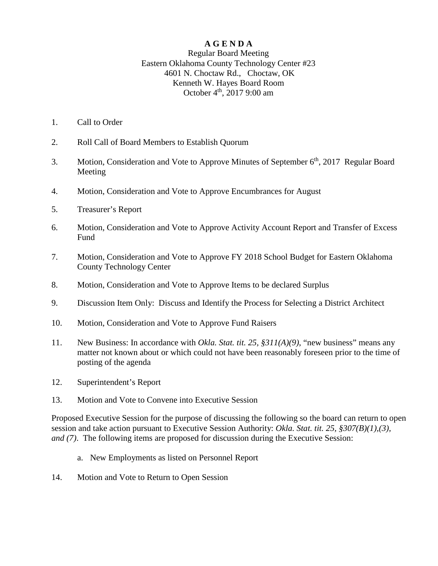### **A G E N D A**

#### Regular Board Meeting Eastern Oklahoma County Technology Center #23 4601 N. Choctaw Rd., Choctaw, OK Kenneth W. Hayes Board Room October  $4^{th}$ , 2017 9:00 am

- 1. Call to Order
- 2. Roll Call of Board Members to Establish Quorum
- 3. Motion, Consideration and Vote to Approve Minutes of September 6<sup>th</sup>, 2017 Regular Board Meeting
- 4. Motion, Consideration and Vote to Approve Encumbrances for August
- 5. Treasurer's Report
- 6. Motion, Consideration and Vote to Approve Activity Account Report and Transfer of Excess Fund
- 7. Motion, Consideration and Vote to Approve FY 2018 School Budget for Eastern Oklahoma County Technology Center
- 8. Motion, Consideration and Vote to Approve Items to be declared Surplus
- 9. Discussion Item Only: Discuss and Identify the Process for Selecting a District Architect
- 10. Motion, Consideration and Vote to Approve Fund Raisers
- 11. New Business: In accordance with *Okla. Stat. tit. 25, §311(A)(9)*, "new business" means any matter not known about or which could not have been reasonably foreseen prior to the time of posting of the agenda
- 12. Superintendent's Report
- 13. Motion and Vote to Convene into Executive Session

Proposed Executive Session for the purpose of discussing the following so the board can return to open session and take action pursuant to Executive Session Authority: *Okla. Stat. tit. 25, §307(B)(1),(3), and (7)*. The following items are proposed for discussion during the Executive Session:

- a. New Employments as listed on Personnel Report
- 14. Motion and Vote to Return to Open Session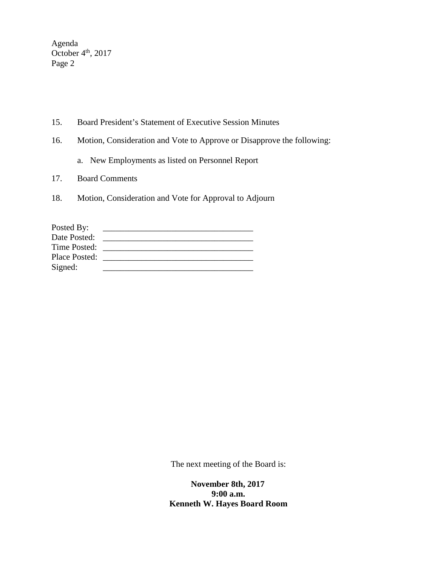Agenda October  $4<sup>th</sup>$ , 2017 Page 2

- 15. Board President's Statement of Executive Session Minutes
- 16. Motion, Consideration and Vote to Approve or Disapprove the following:
	- a. New Employments as listed on Personnel Report
- 17. Board Comments
- 18. Motion, Consideration and Vote for Approval to Adjourn

| Posted By:    |  |
|---------------|--|
| Date Posted:  |  |
| Time Posted:  |  |
| Place Posted: |  |
| Signed:       |  |

The next meeting of the Board is:

 **November 8th, 2017 9:00 a.m. Kenneth W. Hayes Board Room**